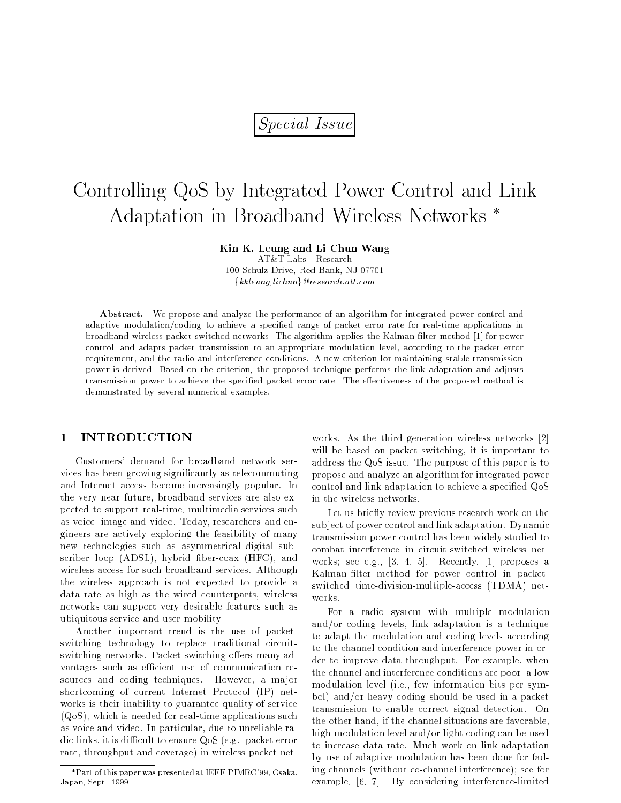# Special Issue

# Controlling QoS by Integrated Power Control and Link Adaptation in Broadband Wireless Networks

Kin K. Leung and Li-Chun Wang

AT&T Labs - Research 100 Schulz Drive, Red Bank, NJ 07701  $\{kkleung,lichun\}$ @research.att.com

Abstract. We propose and analyze the performance of an algorithm for integrated power control and adaptive modulation/coding to achieve a specied range of packet error rate for real-time applications in broadband wireless packet-switched networks. The algorithm applies the Kalman-lter method [1] for power control, and adapts packet transmission to an appropriate modulation level, according to the packet error requirement, and the radio and interference conditions. A new criterion for maintaining stable transmission power is derived. Based on the criterion, the proposed technique performs the link adaptation and adjusts transmission power to achieve the specified packet error rate. The effectiveness of the proposed method is demonstrated by several numerical examples.

# 1 INTRODUCTION

Customers' demand for broadband network services has been growing signicantly as telecommuting and Internet access become increasingly popular. In the very near future, broadband services are also expected to support real-time, multimedia services such as voice, image and video. Today, researchers and engineers are actively exploring the feasibility of many new technologies such as asymmetrical digital subscriber loop (ADSL), hybrid fiber-coax (HFC), and wireless access for such broadband services. Although the wireless approach is not expected to provide a data rate as high as the wired counterparts, wireless networks can support very desirable features such as ubiquitous service and user mobility.

Another important trend is the use of packetswitching technology to replace traditional circuitswitching networks. Packet switching offers many advantages such as efficient use of communication resources and coding techniques. However, a major shortcoming of current Internet Protocol (IP) networks is their inability to guarantee quality of service (QoS), which is needed for real-time applications such as voice and video. In particular, due to unreliable radio links, it is difficult to ensure  $Q \circ S$  (e.g., packet error rate, throughput and coverage) in wireless packet networks. As the third generation wireless networks [2] will be based on packet switching, it is important to address the QoS issue. The purpose of this paper is to propose and analyze an algorithm for integrated power control and link adaptation to achieve a specied QoS in the wireless networks.

Let us briefly review previous research work on the subject of power control and link adaptation. Dynamic transmission power control has been widely studied to combat interference in circuit-switched wireless networks; see e.g.,  $[3, 4, 5]$ . Recently,  $[1]$  proposes a Kalman-filter method for power control in packetswitched time-division-multiple-access (TDMA) networks.

For a radio system with multiple modulation and/or coding levels, link adaptation is a technique to adapt the modulation and coding levels according to the channel condition and interference power in order to improve data throughput. For example, when the channel and interference conditions are poor, a low modulation level (i.e., few information bits per symbol) and/or heavy coding should be used in a packet transmission to enable correct signal detection. On the other hand, if the channel situations are favorable, high modulation level and/or light coding can be used to increase data rate. Much work on link adaptation by use of adaptive modulation has been done for fading channels (without co-channel interference); see for example, [6, 7]. By considering interference-limited

Part of this paper was presented at IEEE PIMRC'99, Osaka, Japan, Sept. 1999.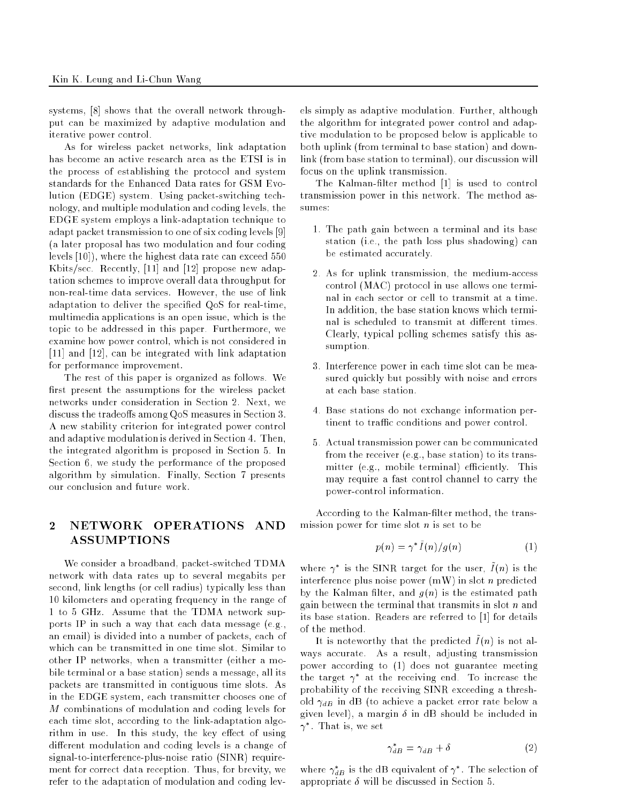systems, [8] shows that the overall network throughput can be maximized by adaptive modulation and iterative power control.

As for wireless packet networks, link adaptation has become an active research area as the ETSI is in the process of establishing the protocol and system standards for the Enhanced Data rates for GSM Evolution (EDGE) system. Using packet-switching technology, and multiple modulation and coding levels, the EDGE system employs a link-adaptation technique to adapt packet transmission to one of six coding levels [9] (a later proposal has two modulation and four coding levels [10]), where the highest data rate can exceed 550 Kbits/sec. Recently, [11] and [12] propose new adaptation schemes to improve overall data throughput for non-real-time data services. However, the use of link adaptation to deliver the specied QoS for real-time, multimedia applications is an open issue, which is the topic to be addressed in this paper. Furthermore, we examine how power control, which is not considered in [11] and [12], can be integrated with link adaptation for performance improvement.

The rest of this paper is organized as follows. We first present the assumptions for the wireless packet networks under consideration in Section 2. Next, we discuss the tradeoffs among QoS measures in Section 3. A new stability criterion for integrated power control and adaptive modulation is derived in Section 4. Then, the integrated algorithm is proposed in Section 5. In Section 6, we study the performance of the proposed algorithm by simulation. Finally, Section 7 presents our conclusion and future work.

# 2 NETWORK OPERATIONS AND ASSUMPTIONS

We consider a broadband, packet-switched TDMA network with data rates up to several megabits per second, link lengths (or cell radius) typically less than 10 kilometers and operating frequency in the range of 1 to 5 GHz. Assume that the TDMA network supports IP in such a way that each data message (e.g., an email) is divided into a number of packets, each of which can be transmitted in one time slot. Similar to other IP networks, when a transmitter (either a mobile terminal or a base station) sends a message, all its packets are transmitted in contiguous time slots. As in the EDGE system, each transmitter chooses one of M combinations of modulation and coding levels for each time slot, according to the link-adaptation algorithm in use. In this study, the key effect of using different modulation and coding levels is a change of signal-to-interference-plus-noise ratio (SINR) requirement for correct data reception. Thus, for brevity, we refer to the adaptation of modulation and coding levels simply as adaptive modulation. Further, although the algorithm for integrated power control and adaptive modulation to be proposed below is applicable to both uplink (from terminal to base station) and downlink (from base station to terminal), our discussion will focus on the uplink transmission.

The Kalman-filter method [1] is used to control transmission power in this network. The method assumes:

- 1. The path gain between a terminal and its base station (i.e., the path loss plus shadowing) can be estimated accurately.
- 2. As for uplink transmission, the medium-access control (MAC) protocol in use allows one terminal in each sector or cell to transmit at a time. In addition, the base station knows which terminal is scheduled to transmit at different times. Clearly, typical polling schemes satisfy this assumption.
- 3. Interference power in each time slot can be measured quickly but possibly with noise and errors at each base station.
- 4. Base stations do not exchange information pertinent to traffic conditions and power control.
- 5. Actual transmission power can be communicated from the receiver (e.g., base station) to its transmitter (e.g., mobile terminal) efficiently. This may require a fast control channel to carry the power-control information.

According to the Kalman-lter method, the transmission power for time slot  $n$  is set to be

$$
p(n) = \gamma^* \tilde{I}(n) / g(n) \tag{1}
$$

where  $\gamma$  is the SINR target for the user, I (n) is the interference plus noise power  $(mW)$  in slot *n* predicted by the Kalman filter, and  $q(n)$  is the estimated path gain between the terminal that transmits in slot <sup>n</sup> and its base station. Readers are referred to [1] for details of the method.

It is noteworthy that the predicted  $\tilde{I}(n)$  is not always accurate. As a result, adjusting transmission power according to (1) does not guarantee meeting the target  $\gamma$  at the receiving end. To increase the probability of the receiving SINR exceeding a threshold dab in de la della della della contra below a chieve a given level), a margin  $\delta$  in dB should be included in  $\gamma$  . Inat is, we set

$$
\gamma_{dB}^* = \gamma_{dB} + \delta \tag{2}
$$

where  $\gamma_{dB}$  is the ab equivalent of  $\gamma$  . The selection of  $\overline{\phantom{a}}$ appropriate  $\delta$  will be discussed in Section 5.

 $\overline{\phantom{a}}$ 

 $\overline{\phantom{a}}$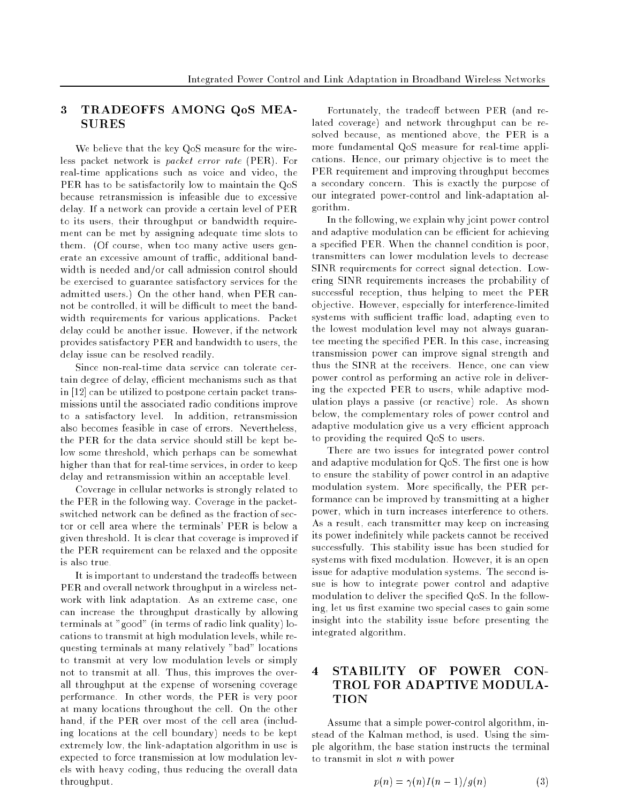# 3 TRADEOFFS AMONG QoS MEA-SURES

We believe that the key QoS measure for the wireless packet network is packet error rate (PER). For real-time applications such as voice and video, the PER has to be satisfactorily low to maintain the QoS because retransmission is infeasible due to excessive delay. If a network can provide a certain level of PER to its users, their throughput or bandwidth requirement can be met by assigning adequate time slots to them. (Of course, when too many active users generate an excessive amount of traffic, additional bandwidth is needed and/or call admission control should be exercised to guarantee satisfactory services for the admitted users.) On the other hand, when PER cannot be controlled, it will be difficult to meet the bandwidth requirements for various applications. Packet delay could be another issue. However, if the network provides satisfactory PER and bandwidth to users, the delay issue can be resolved readily.

Since non-real-time data service can tolerate certain degree of delay, efficient mechanisms such as that in [12] can be utilized to postpone certain packet transmissions until the associated radio conditions improve to a satisfactory level. In addition, retransmission also becomes feasible in case of errors. Nevertheless, the PER for the data service should still be kept below some threshold, which perhaps can be somewhat higher than that for real-time services, in order to keep delay and retransmission within an acceptable level.

Coverage in cellular networks is strongly related to the PER in the following way. Coverage in the packetswitched network can be defined as the fraction of sector or cell area where the terminals' PER is below a given threshold. It is clear that coverage is improved if the PER requirement can be relaxed and the opposite is also true.

It is important to understand the tradeoffs between PER and overall network throughput in a wireless network with link adaptation. As an extreme case, one can increase the throughput drastically by allowing terminals at "good" (in terms of radio link quality) locations to transmit at high modulation levels, while requesting terminals at many relatively "bad" locations to transmit at very low modulation levels or simply not to transmit at all. Thus, this improves the overall throughput at the expense of worsening coverage performance. In other words, the PER is very poor at many locations throughout the cell. On the other hand, if the PER over most of the cell area (including locations at the cell boundary) needs to be kept extremely low, the link-adaptation algorithm in use is expected to force transmission at low modulation levels with heavy coding, thus reducing the overall data throughput.

Fortunately, the tradeoff between PER (and related coverage) and network throughput can be resolved because, as mentioned above, the PER is a more fundamental QoS measure for real-time applications. Hence, our primary objective is to meet the PER requirement and improving throughput becomes a secondary concern. This is exactly the purpose of our integrated power-control and link-adaptation algorithm.

In the following, we explain why joint power control and adaptive modulation can be efficient for achieving a specied PER. When the channel condition is poor, transmitters can lower modulation levels to decrease SINR requirements for correct signal detection. Lowering SINR requirements increases the probability of successful reception, thus helping to meet the PER objective. However, especially for interference-limited systems with sufficient traffic load, adapting even to the lowest modulation level may not always guarantee meeting the specied PER. In this case, increasing transmission power can improve signal strength and thus the SINR at the receivers. Hence, one can view power control as performing an active role in delivering the expected PER to users, while adaptive modulation plays a passive (or reactive) role. As shown below, the complementary roles of power control and adaptive modulation give us a very efficient approach to providing the required QoS to users.

There are two issues for integrated power control and adaptive modulation for QoS. The first one is how to ensure the stability of power control in an adaptive modulation system. More specifically, the PER performance can be improved by transmitting at a higher power, which in turn increases interference to others. As a result, each transmitter may keep on increasing its power indefinitely while packets cannot be received successfully. This stability issue has been studied for systems with fixed modulation. However, it is an open issue for adaptive modulation systems. The second issue is how to integrate power control and adaptive modulation to deliver the specied QoS. In the following, let us first examine two special cases to gain some insight into the stability issue before presenting the integrated algorithm.

# 4 STABILITY OF POWER CON-TROL FOR ADAPTIVE MODULA-TION

Assume that a simple power-control algorithm, instead of the Kalman method, is used. Using the simple algorithm, the base station instructs the terminal to transmit in slot <sup>n</sup> with power

$$
p(n) = \gamma(n)I(n-1)/g(n) \tag{3}
$$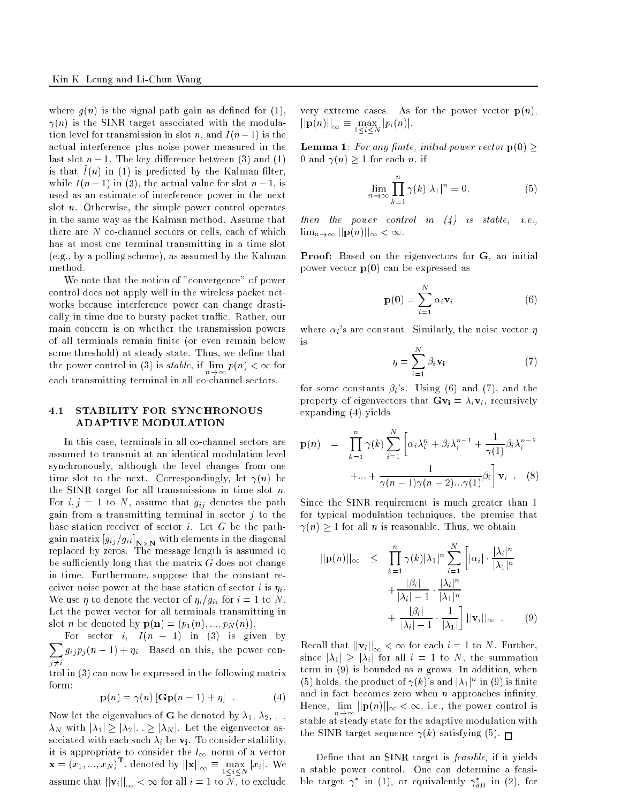where  $g(n)$  is the signal path gain as defined for (1),  $\gamma(n)$  is the SINR target associated with the modulation level for transmission in slot n, and  $I(n-1)$  is the actual interference plus noise power measured in the last slot  $n - 1$ . The key difference between (3) and (1) is that  $I(n)$  in (1) is predicted by the Kalman mitch, while  $I(n-1)$  in (3), the actual value for slot  $n-1$ , is used as an estimate of interference power in the next slot n. Otherwise, the simple power control operates in the same way as the Kalman method. Assume that there are <sup>N</sup> co-channel sectors or cells, each of which has at most one terminal transmitting in a time slot (e.g., by a polling scheme), as assumed by the Kalman method.

We note that the notion of "convergence" of power control does not apply well in the wireless packet networks because interference power can change drastically in time due to bursty packet traffic. Rather, our main concern is on whether the transmission powers of all terminals remain finite (or even remain below some threshold) at steady state. Thus, we define that the power control in (3) is stable, if lim p(n) <sup>&</sup>lt; <sup>1</sup> for each transmitting terminal in all co-channel sectors. The co-channel sectors. The co-channel sectors. The co-c

### 4.1 STABILITY FOR SYNCHRONOUS ADAPTIVE MODULATION

In this case, terminals in all co-channel sectors are assumed to transmit at an identical modulation level synchronously, although the level changes from one time slot to the next. Correspondingly, let  $\gamma(n)$  be the SINR target for all transmissions in time slot n. For i; j = 1 to N, assume that gij denotes the path gain from a transmitting terminal in sector  $j$  to the base station receiver of sector  $i$ . Let  $G$  be the pathgain matrix  $g_{ij}$  ,  $g_{ij}$  N  $_{NN}$  with elements in the diagonal replaced by zeros. The message length is assumed to be sufficiently long that the matrix  $G$  does not change in time. Furthermore, suppose that the constant receiver noise power at the same station of sector  $\alpha$  is  $\eta_i$  .  $\mathcal{L}_{\mathcal{L}}$  and  $\mathcal{L}_{\mathcal{L}}$  for  $\mathcal{L}_{\mathcal{L}}$  for integrating to  $\mathcal{L}_{\mathcal{L}}$  is the  $\mathcal{L}_{\mathcal{L}}$  is the set of  $\mathcal{L}_{\mathcal{L}}$  is the set of  $\mathcal{L}_{\mathcal{L}}$ Let the power vector for all terminals transmitting in slot *n* be denoted by  $\mathbf{p}(\mathbf{n}) = (p_1(n), ..., p_N(n))$ .

 $\overline{\phantom{a}}$ For sector i,  $I(n - 1)$  in (3) is given by j6=i  $\mathcal{J}_{k+1}$  , i.e.  $\mathcal{J}_{k+1}$  , i.e. based on the power con-

trol in (3) can now be expressed in the following matrix form:

$$
\mathbf{p}(n) = \gamma(n) [\mathbf{Gp}(n-1) + \eta] \tag{4}
$$

Now let the eigenvalues of **G** be denoted by  $\lambda_1, \lambda_2, ...,$ N with j1j j2j::: jN j. Let the eigenvector associated with each such such its via  $\mathcal{L}_{\mathcal{S}}$  , we consider state stability, it is appropriate to consider the  $l_{\infty}$  norm of a vector  $\mathbf{x} = (x_1, ..., x_N)^\top$ , denoted by  $||\mathbf{x}||_{\infty} \equiv \max_{1 \leq i \leq N} |x_i|$ . We assume that  $||\mathbf{v}_i||_{\infty} < \infty$  for all  $i = 1$  to  $N$ , to exclude very extreme cases. As for the power vector  $p(n)$ ,  $\lim_{i \to \infty}$   $\frac{1}{i}$   $\frac{1}{i}$   $\frac{1}{i}$   $\frac{1}{i}$   $\frac{1}{i}$   $\frac{1}{i}$   $\frac{1}{i}$ 

**Lemma 1**: For any finite, initial power vector  $p(0) \geq$ 0 and  $\gamma(n) \geq 1$  for each n, if

$$
\lim_{n \to \infty} \prod_{k=1}^{n} \gamma(k) |\lambda_1|^n = 0,
$$
\n(5)

then the power control in (4) is stated in the  $\lim_{n\to\infty}||\mathbf{p}(n)||_{\infty}<\infty.$ 

Proof: Based on the eigenvectors for G, an initial power vector  $p(0)$  can be expressed as

$$
\mathbf{p}(0) = \sum_{i=1}^{N} \alpha_i \mathbf{v}_i
$$
 (6)

where  $\alpha_i$ 's are constant. Similarly, the noise vector  $\eta$ is

$$
\eta = \sum_{i=1}^{N} \beta_i \mathbf{v_i} \tag{7}
$$

for some constants  $\beta_i$ 's. Using (6) and (7), and the property of eigenvectors that  $Gv_i = \lambda_i v_i$ , recursively expanding (4) yields

$$
\mathbf{p}(n) = \prod_{k=1}^{n} \gamma(k) \sum_{i=1}^{N} \left[ \alpha_i \lambda_i^n + \beta_i \lambda_i^{n-1} + \frac{1}{\gamma(1)} \beta_i \lambda_i^{n-2} + \dots + \frac{1}{\gamma(n-1)\gamma(n-2)\dots\gamma(1)} \beta_i \right] \mathbf{v}_i
$$
 (8)

Since the SINR requirement is much greater than 1 for typical modulation techniques, the premise that  $\gamma(n) \geq 1$  for all *n* is reasonable. Thus, we obtain

$$
||\mathbf{p}(n)||_{\infty} \leq \prod_{k=1}^{n} \gamma(k) |\lambda_1|^n \sum_{i=1}^{N} \left[ |\alpha_i| \cdot \frac{|\lambda_i|^n}{|\lambda_1|^n} + \frac{|\beta_i|}{|\lambda_i| - 1} \cdot \frac{|\lambda_i|^n}{|\lambda_1|^n} + \frac{|\beta_i|}{|\lambda_i| - 1} \cdot \frac{1}{|\lambda_1|} \right] ||\mathbf{v}_i||_{\infty} . \tag{9}
$$

Recall that  $||\mathbf{v}_i||_{\infty} < \infty$  for each  $i = 1$  to N. Further, since  $|\lambda_1| \geq |\lambda_i|$  for all  $i = 1$  to N, the summation term in  $(9)$  is bounded as *n* grows. In addition, when (5) holds, the product of  $\gamma(k)$ 's and  $|\lambda_1|^n$  in (9) is finite and in fact becomes zero when  $n$  approaches infinity. Hence, lim jjp(n)jj1 <sup>&</sup>lt; 1, i.e., the power control is stable at steady state for the adaptive modulation with the SINR target sequence  $\gamma(k)$  satisfying (5).

Define that an SINR target is *feasible*, if it yields a stable power control. One can determine a feasible target  $\gamma$  in (1), or equivalently  $\gamma_{dB}$  in (2), for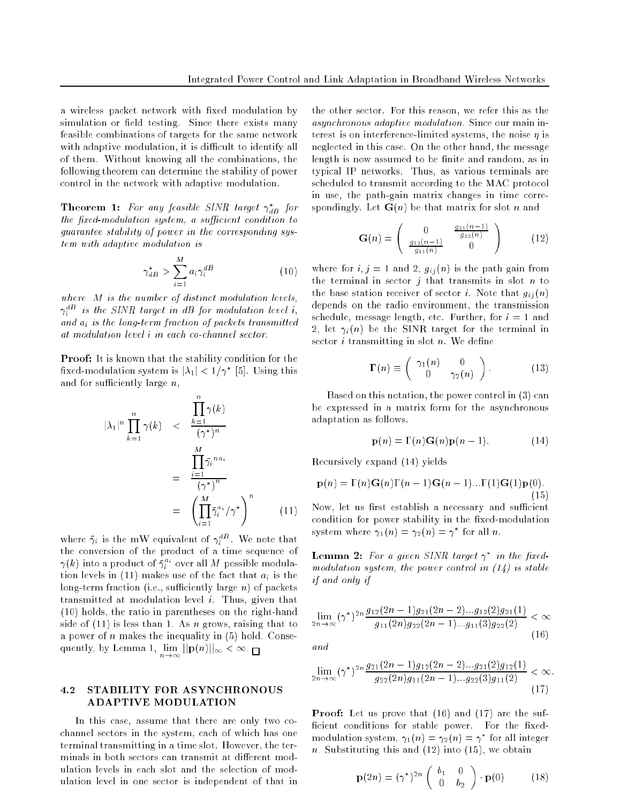a wireless packet network with fixed modulation by simulation or field testing. Since there exists many feasible combinations of targets for the same network with adaptive modulation, it is difficult to identify all of them. Without knowing all the combinations, the following theorem can determine the stability of power control in the network with adaptive modulation.

**Theorem 1:** For any jeasible SINR larget  $\gamma_{dB}$  for  $\overline{\phantom{a}}$ the first modulation system, a sufficient condition to guarantee stability of power in the corresponding system with adaptive modulation is

$$
\gamma_{dB}^* > \sum_{i=1}^M a_i \gamma_i^{dB} \tag{10}
$$

where we are modulation of distinct modulation and control to the set  $\gamma_i$  - is the SHVK target in aB for modulation level i, and a is the long-term fraction of packets transmitted

Proof: It is known that the stability condition for the  $\max$ ed-modulation system is  $|\lambda_1| \leq 1/\gamma$  .  $|\lambda_1|$ . Using this and for sufficiently large  $n$ ,

$$
|\lambda_1|^n \prod_{k=1}^n \gamma(k) \le \frac{\prod_{k=1}^n \gamma(k)}{(\gamma^*)^n}
$$

$$
= \frac{\prod_{i=1}^M \bar{\gamma}_i^{n a_i}}{(\gamma^*)^n}
$$

$$
= \left(\prod_{i=1}^M \bar{\gamma}_i^{a_i} / \gamma^*\right)^n \qquad (11)
$$

where  $\gamma_i$  is the mw equivalent of  $\gamma_i^-$ . We note that the conversion of the product of a time sequence of  $\gamma(k)$  into a product of  $\gamma_i^{\pm}$  over all  $M$  possible modulation is come in (11) makes use of the fact that the fact  $\frac{1}{2}$ long-term fraction (i.e., sufficiently large  $n$ ) of packets transmitted at modulation level i. Thus, given that (10) holds, the ratio in parentheses on the right-hand side of  $(11)$  is less than 1. As *n* grows, raising that to a power of  $n$  makes the inequality in  $(5)$  hold. Conse- $\lim_{n\to\infty}$  iii  $\lim_{n\to\infty}$   $\lim_{n\to\infty}$ 

### 4.2 STABILITY FOR ASYNCHRONOUS ADAPTIVE MODULATION

In this case, assume that there are only two cochannel sectors in the system, each of which has one terminal transmitting in a time slot. However, the terminals in both sectors can transmit at different modulation levels in each slot and the selection of modulation level in one sector is independent of that in

the other sector. For this reason, we refer this as the asynchronous adaptive modulation. Since our main interest is on interference-limited systems, the noise  $\eta$  is neglected in this case. On the other hand, the message length is now assumed to be finite and random, as in typical IP networks. Thus, as various terminals are scheduled to transmit according to the MAC protocol in use, the path-gain matrix changes in time correspondingly. Let  $G(n)$  be that matrix for slot n and

$$
\mathbf{G}(n) = \begin{pmatrix} 0 & \frac{g_{21}(n-1)}{g_{22}(n)} \\ \frac{g_{12}(n-1)}{g_{11}(n)} & 0 \end{pmatrix}
$$
 (12)

where for i; j  $j$  = 1 and 2, gives from path gain from  $\alpha$ the terminal in sector  $j$  that transmits in slot  $n$  to the station receiver of section i. There is not that  $g_{ij}$  (n) depends on the radio environment, the transmission schedule, message length, etc. Further, for  $i = 1$  and  $\blacksquare$ , is  $\blacksquare$  if  $\blacksquare$  is the subgroup of the terminal in sector  $i$  transmitting in slot  $n$ . We define

$$
\Gamma(n) \equiv \begin{pmatrix} \gamma_1(n) & 0 \\ 0 & \gamma_2(n) \end{pmatrix} . \tag{13}
$$

Based on this notation, the power control in (3) can be expressed in a matrix form for the asynchronous adaptation as follows.

$$
\mathbf{p}(n) = \Gamma(n)\mathbf{G}(n)\mathbf{p}(n-1). \tag{14}
$$

Recursively expand (14) yields

$$
\mathbf{p}(n) = \Gamma(n)\mathbf{G}(n)\Gamma(n-1)\mathbf{G}(n-1)\dots\Gamma(1)\mathbf{G}(1)\mathbf{p}(0).
$$
\n(15)

Now, let us first establish a necessary and sufficient condition for power stability in the fixed-modulation system where  $\gamma_1(n) = \gamma_2(n) = \gamma$  for all n.

**Lemma** 2: For a given SINK target  $\gamma$  in the fixedmodulation system, the power control in  $(14)$  is stable  $\cdot$  if and only if  $\cdot$  if  $\cdot$  if  $\cdot$  if  $\cdot$  if  $\cdot$  if  $\cdot$  if  $\cdot$  if  $\cdot$  if  $\cdot$  if  $\cdot$  if  $\cdot$  if  $\cdot$  if  $\cdot$  if  $\cdot$  if  $\cdot$  if  $\cdot$  if  $\cdot$  if  $\cdot$  if  $\cdot$  if  $\cdot$  if  $\cdot$  if  $\cdot$  if  $\cdot$  if  $\cdot$  if  $\cdot$  if

$$
\lim_{2n \to \infty} (\gamma^*)^{2n} \frac{g_{12}(2n-1)g_{21}(2n-2)\dots g_{12}(2)g_{21}(1)}{g_{11}(2n)g_{22}(2n-1)\dots g_{11}(3)g_{22}(2)} < \infty
$$
 (16)

 $\cdots$ 

an d

$$
\lim_{2n \to \infty} (\gamma^*)^{2n} \frac{g_{21}(2n-1)g_{12}(2n-2)\dots g_{21}(2)g_{12}(1)}{g_{22}(2n)g_{11}(2n-1)\dots g_{22}(3)g_{11}(2)} < \infty.
$$
\n(17)

Proof: Let us prove that (16) and (17) are the sufficient conditions for stable power. For the fixedmodulation system,  $\gamma_1(n) = \gamma_2(n) = \gamma$  for all integer n. Substituting this and  $(12)$  into  $(15)$ , we obtain

$$
\mathbf{p}(2n) = (\gamma^*)^{2n} \begin{pmatrix} b_1 & 0\\ 0 & b_2 \end{pmatrix} \cdot \mathbf{p}(0) \quad (18)
$$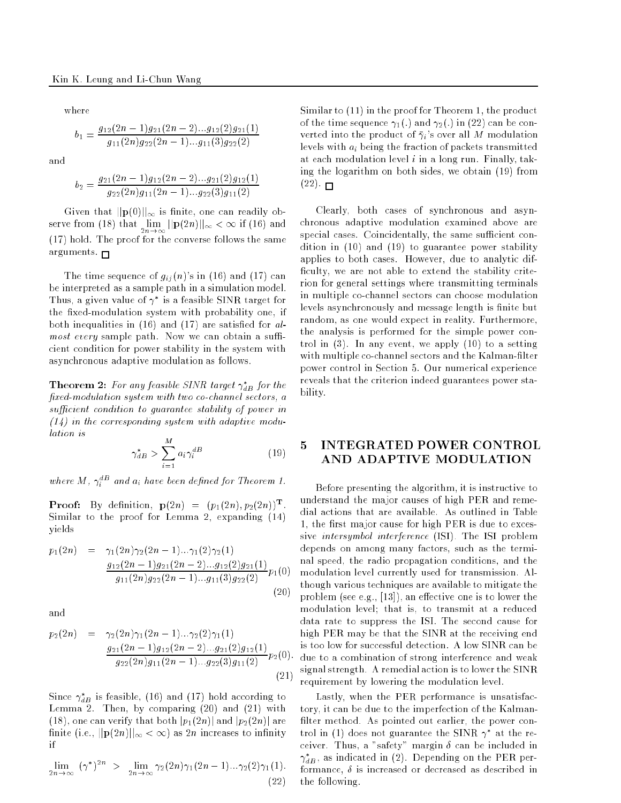where

$$
b_1 = \frac{g_{12}(2n-1)g_{21}(2n-2)...g_{12}(2)g_{21}(1)}{g_{11}(2n)g_{22}(2n-1)...g_{11}(3)g_{22}(2)}
$$

and

$$
b_2 = \frac{g_{21}(2n-1)g_{12}(2n-2)...g_{21}(2)g_{12}(1)}{g_{22}(2n)g_{11}(2n-1)...g_{22}(3)g_{11}(2)}
$$

Given that  $||\mathbf{p}(0)||_{\infty}$  is finite, one can readily ob- $\sum_{n=1}^{\infty} \frac{1}{n}$  and  $\sum_{n=1}^{\infty} \frac{1}{n}$  if  $\sum_{n=1}^{\infty}$  if  $\sum_{n=1}^{\infty}$  and  $\sum_{n=1}^{\infty}$  and  $\sum_{n=1}^{\infty}$ (17) hold. The proof for the converse follows the same arguments.  $\Box$ 

The time sequence of  $g_{ij}(n)$ 's in (16) and (17) can be interpreted as a sample path in a simulation model. Thus, a given value of  $\gamma$  is a feasible SINR target for the fixed-modulation system with probability one, if both inequalities in  $(16)$  and  $(17)$  are satisfied for almost every sample path. Now we can obtain a su cient condition for power stability in the system with asynchronous adaptive modulation as follows.

**Theorem 2:** For any feasible SINR larget  $\gamma_{AB}$  for the fixed-modulation system with two co-channel sectors, a sucient condition to guarantee stability of power in  $(14)$  in the corresponding system with adaptive modu-

$$
\gamma_{dB}^* > \sum_{i=1}^M a_i \gamma_i^{dB} \tag{19}
$$

where  $M$  ,  $\gamma_i$  - and  $a_i$  have been defined for Theorem 1. i

**Proof:** By definition,  $p(2n) = (p_1(2n), p_2(2n))$ . Similar to the proof for Lemma 2, expanding (14) yields

$$
p_1(2n) = \gamma_1(2n)\gamma_2(2n-1)\dots\gamma_1(2)\gamma_2(1)
$$
  

$$
\frac{g_{12}(2n-1)g_{21}(2n-2)\dots g_{12}(2)g_{21}(1)}{g_{11}(2n)g_{22}(2n-1)\dots g_{11}(3)g_{22}(2)}p_1(0)
$$
  
(20)

and

$$
p_2(2n) = \gamma_2(2n)\gamma_1(2n-1)\dots\gamma_2(2)\gamma_1(1)
$$
  

$$
\frac{g_{21}(2n-1)g_{12}(2n-2)\dots g_{21}(2)g_{12}(1)}{g_{22}(2n)g_{11}(2n-1)\dots g_{22}(3)g_{11}(2)}p_2(0).
$$
  
(21)

Since  $\gamma_{dB}$  is feasible, (10) and (17) hold according to Lemma 2. Then, by comparing (20) and (21) with (18), one can verify that both  $|p_1(2n)|$  and  $|p_2(2n)|$  are finite (i.e.,  $||\mathbf{p}(2n)||_{\infty} < \infty$ ) as 2n increases to infinity if

$$
\lim_{2n\to\infty} (\gamma^*)^{2n} > \lim_{2n\to\infty} \gamma_2(2n)\gamma_1(2n-1)\dots\gamma_2(2)\gamma_1(1).
$$
\n(22)

Similar to (11) in the proof for Theorem 1, the product of the time sequence  $\gamma_1(.)$  and  $\gamma_2(.)$  in (22) can be converted into the product of  $\bar{\gamma}_i$ 's over all M modulation levels with ai being the fraction of packets transmitted at each modulation level  $i$  in a long run. Finally, taking the logarithm on both sides, we obtain (19) from  $(22)$ .  $\Box$ 

Clearly, both cases of synchronous and asynchronous adaptive modulation examined above are special cases. Coincidentally, the same sufficient condition in (10) and (19) to guarantee power stability applies to both cases. However, due to analytic dif ficulty, we are not able to extend the stability criterion for general settings where transmitting terminals in multiple co-channel sectors can choose modulation levels asynchronously and message length is finite but random, as one would expect in reality. Furthermore, the analysis is performed for the simple power control in (3). In any event, we apply (10) to a setting with multiple co-channel sectors and the Kalman-filter power control in Section 5. Our numerical experience reveals that the criterion indeed guarantees power stability.

# 5 INTEGRATED POWER CONTROL AND ADAPTIVE MODULATION

Before presenting the algorithm, it is instructive to understand the major causes of high PER and remedial actions that are available. As outlined in Table 1, the first major cause for high PER is due to excessive intersymbol interference (ISI). The ISI problem depends on among many factors, such as the terminal speed, the radio propagation conditions, and the modulation level currently used for transmission. Although various techniques are available to mitigate the problem (see e.g.,  $[13]$ ), an effective one is to lower the modulation level; that is, to transmit at a reduced data rate to suppress the ISI. The second cause for high PER may be that the SINR at the receiving end is too low for successful detection. A low SINR can be due to a combination of strong interference and weak signal strength. A remedial action is to lower the SINR requirement by lowering the modulation level.

Lastly, when the PER performance is unsatisfactory, it can be due to the imperfection of the Kalman filter method. As pointed out earlier, the power control in (1) does not guarantee the SINR  $\gamma$  at the receiver. Thus, a "safety" margin  $\delta$  can be included in  $\gamma_{dB}^{},$  as indicated in (2). Depending on the PER performance,  $\delta$  is increased or decreased as described in the following.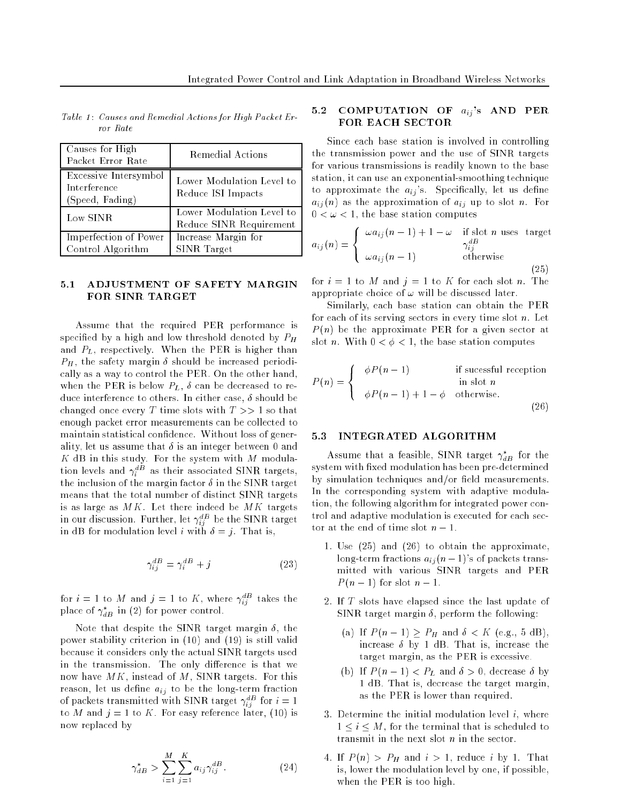| Causes for High<br>Packet Error Rate                     | Remedial Actions                                     |
|----------------------------------------------------------|------------------------------------------------------|
| Excessive Intersymbol<br>Interference<br>(Speed, Fading) | Lower Modulation Level to<br>Reduce ISI Impacts      |
| Low SINR                                                 | Lower Modulation Level to<br>Reduce SINR Requirement |
| Imperfection of Power<br>Control Algorithm               | Increase Margin for<br>SINR Target                   |

Table 1: Causes and Remedial Actions for High Packet Error Rate

#### $5.1$ 5.1 ADJUSTMENT OF SAFETY MARGIN FOR SINR TARGET

Assume that the required PER performance is  $\mathbf{r}_1$  . The denoted by a high and low threshold denoted by  $\mathbf{r}_1$ and  $P_L$ , respectively. When the PER is higher than  $P_H$ , the safety margin  $\delta$  should be increased periodically as a way to control the PER. On the other hand, when the PER is below  $P_L$ ,  $\delta$  can be decreased to reduce interference to others. In either case,  $\delta$  should be changed once every T time slots with  $T >> 1$  so that enough packet error measurements can be collected to maintain statistical condence. Without loss of generality, let us assume that  $\delta$  is an integer between 0 and K dB in this study. For the system with <sup>M</sup> modulation levels and  $\gamma_i^-$  as their associated SINR targets, the inclusion of the margin factor in the SINR target means that the total number of distinct SINR targets is as large as  $MK$ . Let there indeed be  $MK$  targets in our discussion. Further, let  $\gamma_{i\bar{i}}^-$  be the SINR target  $\cdot$  . in dB for modulation level <sup>i</sup> with = j. That is,

$$
\gamma_{ij}^{dB} = \gamma_i^{dB} + j \tag{23}
$$

for  $i=1$  to  $M$  and  $j=1$  to  $K$  , where  $\gamma_{ij}^{-}$  takes the place of  $\gamma_{dB}$  in (2) for power control.

Note that despite the SINR target margin  $\delta$ , the power stability criterion in (10) and (19) is still valid because it considers only the actual SINR targets used in the transmission. The only difference is that we now have  $MK$ , instead of  $M$ , SINR targets. For this reason, let us dene aij to be the long-term fraction of packets transmitted with SINR target  $\gamma_{ii}^-$  for  $i=1$ to M and  $j = 1$  to K. For easy reference later, (10) is now replaced by

#### $\gamma_{dB}^* > \sum \sum$  $\cdot$   $\overline{\phantom{1}}$  $a_{ij}\gamma_{ij}$  (24)

### 5.2 COMPUTATION OF  $a_{ij}$ 's AND PER FOR EACH SECTOR

Since each base station is involved in controlling the transmission power and the use of SINR targets for various transmissions is readily known to the base station, it can use an exponential-smoothing technique to approximate the  $a_{ij}$ 's. Specifically, let us define aij (n) as the approximation of aij up to see the slot  $\mathbb{R}^n$  $0 < \omega < 1$ , the base station computes

$$
a_{ij}(n) = \begin{cases} \omega a_{ij}(n-1) + 1 - \omega & \text{if slot } n \text{ uses target} \\ \omega a_{ij}(n-1) & \text{otherwise} \end{cases}
$$
(25)

for  $i = 1$  to M and  $j = 1$  to K for each slot n. The appropriate choice of  $\omega$  will be discussed later.

Similarly, each base station can obtain the PER for each of its serving sectors in every time slot  $n$ . Let P (n) be the approximate PER for a given sector at slot n. With  $0 < \phi < 1$ , the base station computes

$$
P(n) = \begin{cases} \phi P(n-1) & \text{if successful reception} \\ \phi P(n-1) + 1 - \phi & \text{otherwise.} \end{cases}
$$
 (26)

 $\sqrt{26}$ 

### 5.3 INTEGRATED ALGORITHM

Assume that a feasible, SINR target  $\gamma_{dB}$  for the system with xed modulation has been pre-determined by simulation techniques and/or field measurements In the corresponding system with adaptive modulation, the following algorithm for integrated power control and adaptive modulation is executed for each sector at the end of time slot  $n-1$ .

- 1. Use (25) and (26) to obtain the approximate, long-term fractions  $a_{ij}$  (n – 1)'s of packets transmitted with various SINR targets and PER P (n 1) for slot <sup>n</sup> 1.
- 2. If <sup>T</sup> slots have elapsed since the last update of SINR target margin  $\delta$ , perform the following:
	- (a) If  $P$  (ii)  $P$  is proposed to the function  $\mathcal{E}$ increase  $\delta$  by 1 dB. That is, increase the target margin, as the PER is excessive.
	- $\mathcal{L} = \{ \mathcal{L} \mid \mathcal{L} = \mathcal{L} \mid \mathcal{L} = \mathcal{L} \}$  and  $\mathcal{L} = \mathcal{L} = \{ \mathcal{L} \mid \mathcal{L} = \mathcal{L} \}$ 1 dB. That is, decrease the target margin, as the PER is lower than required.
- 3. Determine the initial modulation level  $i$ , where  $1 \le i \le M$ , for the terminal that is scheduled to transmit in the next slot <sup>n</sup> in the sector.
- 4. If <sup>P</sup> (n) <sup>&</sup>gt; PH and <sup>i</sup> <sup>&</sup>gt; 1, reduce <sup>i</sup> by 1. That is, lower the modulation level by one, if possible, when the PER is too high.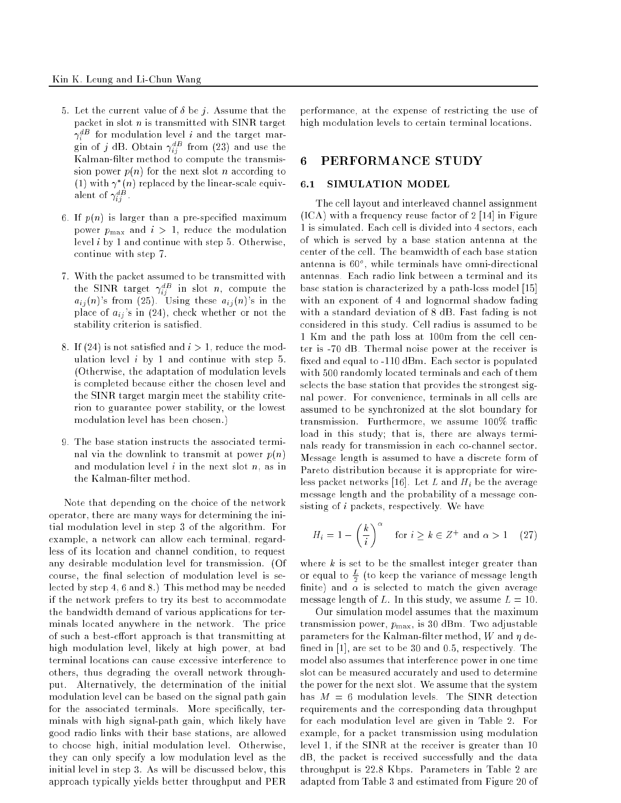- 5. Let the current value of  $\delta$  be j. Assume that the packet in slot  $n$  is transmitted with SINR target  $\gamma_i$  for modulation level  $i$  and the target margin of j dB. Obtain  $\gamma_{ij}^{dB}$  from (23) and use the Kalman-filter method to compute the transmission power  $p(n)$  for the next slot n according to  $(1)$  with  $\gamma$   $(n)$  replaced by the linear-scale equivalent of  $\gamma_{i\bar{\jmath}}$  .
- 6. If  $p(n)$  is larger than a pre-specified maximum power  $p_{\text{max}}$  and  $i > 1$ , reduce the modulation level <sup>i</sup> by 1 and continue with step 5. Otherwise, continue with step 7.
- 7. With the packet assumed to be transmitted with the SINR target  $\gamma_{ij}^{-}$  in slot n, compute the  $a_{ij}(n)$ 's from (25). Using these  $a_{ij}(n)$ 's in the place of  $a_{ij}$ 's in (24), check whether or not the stability criterion is satisfied.
- 8. If (24) is not satisfied and  $i > 1$ , reduce the modulation level  $i$  by 1 and continue with step 5. (Otherwise, the adaptation of modulation levels is completed because either the chosen level and the SINR target margin meet the stability criterion to guarantee power stability, or the lowest modulation level has been chosen.)
- 9. The base station instructs the associated terminal via the downlink to transmit at power  $p(n)$ and modulation level  $i$  in the next slot  $n$ , as in the Kalman-filter method

Note that depending on the choice of the network operator, there are many ways for determining the initial modulation level in step 3 of the algorithm. For example, a network can allow each terminal, regardless of its location and channel condition, to request any desirable modulation level for transmission. (Of course, the final selection of modulation level is selected by step 4, 6 and 8.) This method may be needed if the network prefers to try its best to accommodate the bandwidth demand of various applications for terminals located anywhere in the network. The price of such a best-effort approach is that transmitting at high modulation level, likely at high power, at bad terminal locations can cause excessive interference to others, thus degrading the overall network throughput. Alternatively, the determination of the initial modulation level can be based on the signal path gain for the associated terminals. More specifically, terminals with high signal-path gain, which likely have good radio links with their base stations, are allowed to choose high, initial modulation level. Otherwise, they can only specify a low modulation level as the initial level in step 3. As will be discussed below, this approach typically yields better throughput and PER

performance, at the expense of restricting the use of high modulation levels to certain terminal locations.

## 6 PERFORMANCE STUDY

### 6.1 SIMULATION MODEL

The cell layout and interleaved channel assignment (ICA) with a frequency reuse factor of 2 [14] in Figure 1 is simulated. Each cell is divided into 4 sectors, each of which is served by a base station antenna at the center of the cell. The beamwidth of each base station antenna is ou", while terminals have omni-directional antennas. Each radio link between a terminal and its base station is characterized by a path-loss model [15] with an exponent of 4 and lognormal shadow fading with a standard deviation of 8 dB. Fast fading is not considered in this study. Cell radius is assumed to be 1 Km and the path loss at 100m from the cell center is -70 dB. Thermal noise power at the receiver is xed and equal to -110 dBm. Each sector is populated with 500 randomly located terminals and each of them selects the base station that provides the strongest signal power. For convenience, terminals in all cells are assumed to be synchronized at the slot boundary for transmission. Furthermore, we assume  $100\%$  traffic load in this study; that is, there are always terminals ready for transmission in each co-channel sector. Message length is assumed to have a discrete form of Pareto distribution because it is appropriate for wireless packet networks [16]. Let <sup>L</sup> and Hi be the average message length and the probability of a message consisting of <sup>i</sup> packets, respectively. We have

$$
H_i = 1 - \left(\frac{k}{i}\right)^{\alpha} \quad \text{for } i \ge k \in \mathbb{Z}^+ \text{ and } \alpha > 1 \quad (27)
$$

where  $k$  is set to be the smallest integer greater than or equal to  $\frac{1}{\tau}$  (to keep the variance of message length nite) and is selected to match the given average message length of L. In this study, we assume  $L = 10$ .

Our simulation model assumes that the maximum transmission power,  $p_{\text{max}}$ , is 30 dBm. Two adjustable parameters for the Kalman-filter method,  $W$  and  $\eta$  defined in  $[1]$ , are set to be 30 and 0.5, respectively. The model also assumes that interference power in one time slot can be measured accurately and used to determine the power for the next slot. We assume that the system has  $M = 6$  modulation levels. The SINR detection requirements and the corresponding data throughput for each modulation level are given in Table 2. For example, for a packet transmission using modulation level 1, if the SINR at the receiver is greater than 10 dB, the packet is received successfully and the data throughput is 22.8 Kbps. Parameters in Table 2 are adapted from Table 3 and estimated from Figure 20 of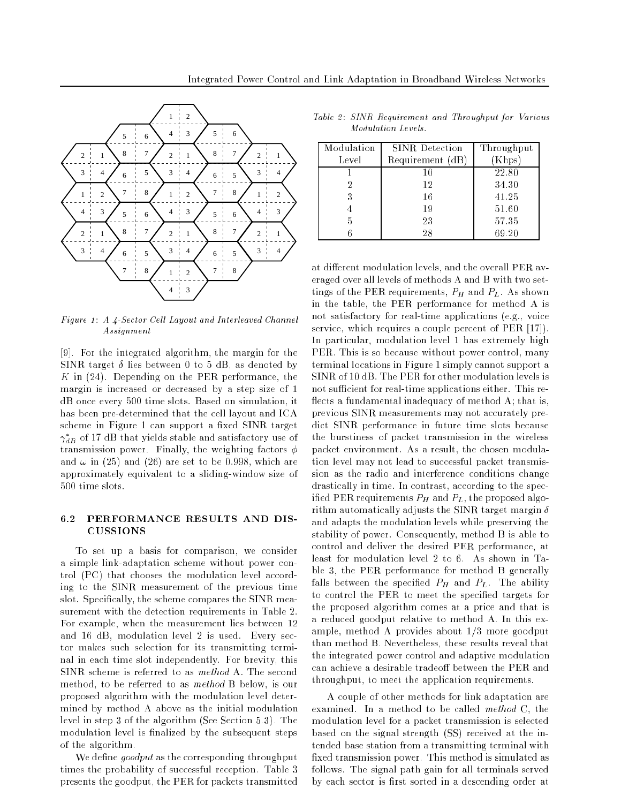

Figure 1: A 4-Sector Cell Layout and Interleaved Channel  $A\,ssi g\,n\,ment$ 

[9]. For the integrated algorithm, the margin for the SINR target  $\delta$  lies between 0 to 5 dB, as denoted by K in (24). Depending on the PER performance, the margin is increased or decreased by a step size of 1 dB once every 500 time slots. Based on simulation, it has been pre-determined that the cell layout and ICA scheme in Figure 1 can support a fixed SINR target  $\gamma_{dB}$  of 17 dB that yields stable and satisfactory use of transmission power. Finally, the weighting factors  $\phi$ and  $\omega$  in (25) and (26) are set to be 0.998, which are approximately equivalent to a sliding-window size of 500 time slots.

### 6.2 PERFORMANCE RESULTS AND DIS-CUSSIONS

To set up a basis for comparison, we consider a simple link-adaptation scheme without power control (PC) that chooses the modulation level according to the SINR measurement of the previous time slot. Specifically, the scheme compares the SINR measurement with the detection requirements in Table 2. For example, when the measurement lies between 12 and 16 dB, modulation level 2 is used. Every sector makes such selection for its transmitting terminal in each time slot independently. For brevity, this SINR scheme is referred to as method A. The second method, to be referred to as method B below, is our proposed algorithm with the modulation level determined by method A above as the initial modulation level in step 3 of the algorithm (See Section 5.3). The modulation level is finalized by the subsequent steps of the algorithm.

We define  $qoodput$  as the corresponding throughput times the probability of successful reception. Table 3 presents the goodput, the PER for packets transmitted

Table 2: SINR Requirement and Throughput for Various Modulation Levels.

| Modulation | <b>SINR</b> Detection | Throughput |
|------------|-----------------------|------------|
| Level      | Requirement (dB)      | (Kbps)     |
|            | 10                    | 22.80      |
| 2          | 12                    | 34.30      |
| 3          | 16                    | 41.25      |
|            | 19                    | 51.60      |
| 5          | 23                    | 57.35      |
|            | 28                    | 69.20      |

at different modulation levels, and the overall PER averaged over all levels of methods A and B with two settings of the PER requirements, PH and PL. As shown in the table, the PER performance for method A is not satisfactory for real-time applications (e.g., voice service, which requires a couple percent of PER [17]). In particular, modulation level 1 has extremely high PER. This is so because without power control, many terminal locations in Figure 1 simply cannot support a SINR of 10 dB. The PER for other modulation levels is not sufficient for real-time applications either. This reflects a fundamental inadequacy of method A; that is, previous SINR measurements may not accurately predict SINR performance in future time slots because the burstiness of packet transmission in the wireless packet environment. As a result, the chosen modulation level may not lead to successful packet transmission as the radio and interference conditions change drastically in time. In contrast, according to the specied PER requirements PH and PL, the proposed algorithm automatically adjusts the SINR target margin  $\delta$ and adapts the modulation levels while preserving the stability of power. Consequently, method B is able to control and deliver the desired PER performance, at least for modulation level 2 to 6. As shown in Table 3, the PER performance for method B generally falls between the specifical PH and PL. The ability to control the PER to meet the specified targets for the proposed algorithm comes at a price and that is a reduced goodput relative to method A. In this example, method A provides about 1/3 more goodput than method B. Nevertheless, these results reveal that the integrated power control and adaptive modulation can achieve a desirable tradeoff between the PER and throughput, to meet the application requirements.

A couple of other methods for link adaptation are examined. In a method to be called method C, the modulation level for a packet transmission is selected based on the signal strength (SS) received at the intended base station from a transmitting terminal with xed transmission power. This method is simulated as follows. The signal path gain for all terminals served by each sector is first sorted in a descending order at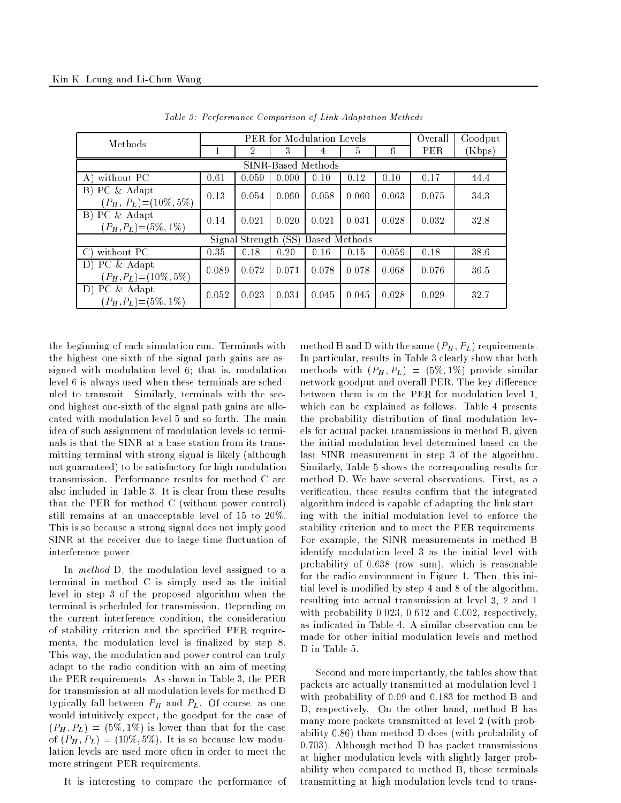| Methods                                                       | <b>PER</b> for Modulation Levels |       |       |       |       |       | Overall | Goodput |
|---------------------------------------------------------------|----------------------------------|-------|-------|-------|-------|-------|---------|---------|
|                                                               |                                  | 2     | 3     | 4     | 5     | 6     | PER.    | (Kbps)  |
| SINR-Based Methods                                            |                                  |       |       |       |       |       |         |         |
| without PC<br>A)                                              | 0.61                             | 0.059 | 0.090 | 0.10  | 0.12  | 0.10  | 0.17    | 44.4    |
| PC & Adapt<br>$\vert B \rangle$<br>$(P_H, P_L) = (10\%, 5\%)$ | 0.13                             | 0.054 | 0.060 | 0.058 | 0.060 | 0.063 | 0.075   | 34.3    |
| B) PC & Adapt<br>$(P_H, P_L) = (5\%, 1\%)$                    | 0.14                             | 0.021 | 0.020 | 0.021 | 0.031 | 0.028 | 0.032   | 32.8    |
| Signal Strength (SS)<br>Based Methods                         |                                  |       |       |       |       |       |         |         |
| without PC<br>$\bigcirc$                                      | 0.35                             | 0.18  | 0.20  | 0.16  | 0.15  | 0.059 | 0.18    | 38.6    |
| $\overline{D}$ ) PC & Adapt<br>$(P_H, P_L) = (10\%, 5\%)$     | 0.089                            | 0.072 | 0.071 | 0.078 | 0.078 | 0.068 | 0.076   | 36.5    |
| D) PC & Adapt<br>$(P_H, P_L) = (5\%, 1\%)$                    | 0.052                            | 0.023 | 0.031 | 0.045 | 0.045 | 0.028 | 0.029   | 32.7    |

Table 3: Performance Comparison of Link-Adaptation Methods

the beginning of each simulation run. Terminals with the highest one-sixth of the signal path gains are assigned with modulation level 6; that is, modulation level 6 is always used when these terminals are scheduled to transmit. Similarly, terminals with the second highest one-sixth of the signal path gains are allocated with modulation level 5 and so forth. The main idea of such assignment of modulation levels to terminals is that the SINR at a base station from its transmitting terminal with strong signal is likely (although not guaranteed) to be satisfactory for high modulation transmission. Performance results for method C are also included in Table 3. It is clear from these results that the PER for method C (without power control) still remains at an unacceptable level of 15 to 20%. This is so because a strong signal does not imply good SINR at the receiver due to large time fluctuation of interference power.

In *method* D, the modulation level assigned to a terminal in method C is simply used as the initial level in step 3 of the proposed algorithm when the terminal is scheduled for transmission. Depending on the current interference condition, the consideration of stability criterion and the specified PER requirements, the modulation level is finalized by step 8. This way, the modulation and power control can truly adapt to the radio condition with an aim of meeting the PER requirements. As shown in Table 3, the PER for transmission at all modulation levels for method D typically fall between PH and PL. Of course, as one of would intuitively expect, the goodput for the case of  $(P_H, P_L) = (5\%, 1\%)$  is lower than that for the case  $\sigma$  ;  $\sigma$   $\mu$  ;  $\sigma$   $\mu$ )  $\sigma$  ;  $\sigma$  ;  $\sigma$  ;  $\sigma$  ;  $\sigma$  ;  $\sigma$  ;  $\sigma$  ;  $\sigma$  ;  $\sigma$  ;  $\sigma$  ;  $\sigma$  ;  $\sigma$  ;  $\sigma$  ;  $\sigma$  ;  $\sigma$  ;  $\sigma$  ;  $\sigma$  ;  $\sigma$  ;  $\sigma$  ;  $\sigma$  ;  $\sigma$  ;  $\sigma$  ;  $\sigma$  ;  $\sigma$  ;  $\sigma$  ;  $\sigma$  ;  $\sigma$  ;  $\$ lation levels are used more often in order to meet the more stringent PER requirements.

It is interesting to compare the performance of

method B and D with the same  $(P_H, P_L)$  requirements. In particular, results in Table 3 clearly show that both methods with  $(P_H, P_L) = (5\%, 1\%)$  provide similar network goodput and overall PER. The key difference between them is on the PER for modulation level 1, which can be explained as follows. Table 4 presents the probability distribution of final modulation levels for actual packet transmissions in method B, given the initial modulation level determined based on the last SINR measurement in step 3 of the algorithm. Similarly, Table 5 shows the corresponding results for method D. We have several observations. First, as a verification, these results confirm that the integrated algorithm indeed is capable of adapting the link starting with the initial modulation level to enforce the stability criterion and to meet the PER requirements. For example, the SINR measurements in method B identify modulation level 3 as the initial level with probability of 0.638 (row sum), which is reasonable for the radio environment in Figure 1. Then, this initial level is modied by step 4 and 8 of the algorithm, resulting into actual transmission at level 3, 2 and 1 with probability 0.023, 0.612 and 0.002, respectively, as indicated in Table 4. A similar observation can be made for other initial modulation levels and method D in Table 5.

Second and more importantly, the tables show that packets are actually transmitted at modulation level 1 with probability of 0.09 and 0.183 for method B and D, respectively. On the other hand, method B has many more packets transmitted at level 2 (with probability 0.86) than method D does (with probability of 0.703). Although method D has packet transmissions at higher modulation levels with slightly larger probability when compared to method B, those terminals transmitting at high modulation levels tend to trans-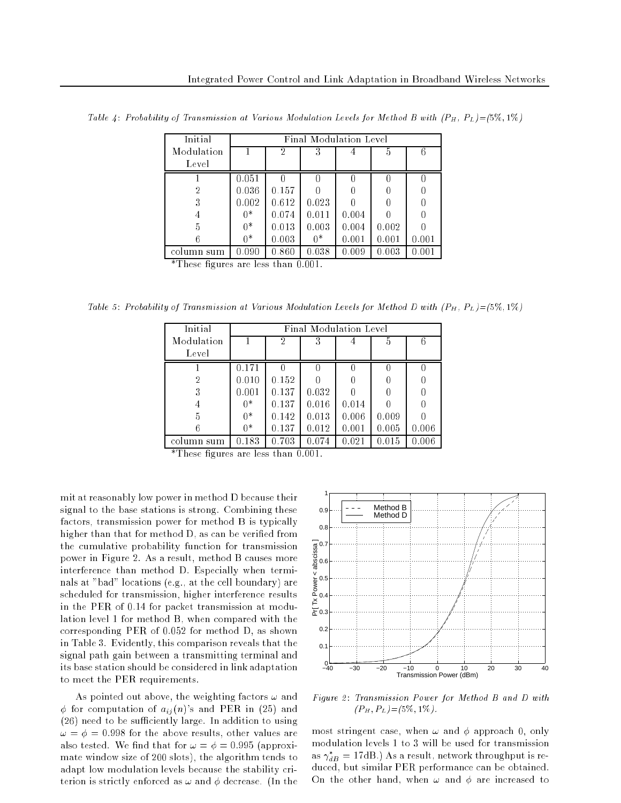| Initial                           | Final Modulation Level |       |       |       |       |           |  |
|-----------------------------------|------------------------|-------|-------|-------|-------|-----------|--|
| Modulation                        |                        | 2     | 3     |       | 5     | 6         |  |
| Level                             |                        |       |       |       |       |           |  |
|                                   | 0.051                  |       |       |       |       |           |  |
| 2                                 | 0.036                  | 0.157 |       |       |       |           |  |
| 3                                 | 0.002                  | 0.612 | 0.023 |       |       |           |  |
| 4                                 | 0*                     | 0.074 | 0.011 | 0.004 |       |           |  |
| 5                                 | $0*$                   | 0.013 | 0.003 | 0.004 | 0.002 |           |  |
|                                   | 0*                     | 0.003 | $0*$  | 0.001 | 0.001 | 0.001     |  |
| column sum<br>da mentre<br>$\sim$ | 0.090                  | 0.860 | 0.038 | 0.009 | 0.003 | $0.001\,$ |  |

Table 4: Probability of Transmission at Various Modulation Levels for Method B with  $(P_H, P_L) = (5\%, 1\%)$ 

\*These gures are less than 0.001.

Table 5: Probability of Transmission at Various Modulation Levels for Method D with  $(P_H, P_L) = (5\%, 1\%)$ 

| Initial       | Final Modulation Level |                |       |       |           |       |  |
|---------------|------------------------|----------------|-------|-------|-----------|-------|--|
| Modulation    |                        | $\overline{2}$ | 3     |       | 5         | 6     |  |
| Level         |                        |                |       |       |           |       |  |
|               | $0.171\,$              |                |       |       |           |       |  |
| 2             | 0.010                  | 0.152          |       |       |           |       |  |
| 3             | 0.001                  | 0.137          | 0.032 |       |           |       |  |
| 4             | 0*                     | 0.137          | 0.016 | 0.014 |           |       |  |
| 5             | $0*$                   | 0.142          | 0.013 | 0.006 | 0.009     |       |  |
|               | 0*                     | 0.137          | 0.012 | 0.001 | 0.005     | 0.006 |  |
| column<br>sum | .183                   | 0.703          | 0.074 | 0.021 | $0.015\,$ | 0.006 |  |

\*These gures are less than 0.001.

mit at reasonably low power in method D because their signal to the base stations is strong. Combining these factors, transmission power for method B is typically higher than that for method D, as can be veried from the cumulative probability function for transmission power in Figure 2. As a result, method B causes more interference than method D. Especially when terminals at "bad" locations (e.g., at the cell boundary) are scheduled for transmission, higher interference results in the PER of 0.14 for packet transmission at modulation level 1 for method B, when compared with the corresponding PER of 0.052 for method D, as shown in Table 3. Evidently, this comparison reveals that the signal path gain between a transmitting terminal and its base station should be considered in link adaptation to meet the PER requirements.

As pointed out above, the weighting factors  $\omega$  and  $\phi$  for computation of  $a_{ij}(n)$ 's and PER in (25) and  $(26)$  need to be sufficiently large. In addition to using ! = = 0:998 for the above results, other values are also tested. We find that for  $\omega = \phi = 0.995$  (approximate window size of 200 slots), the algorithm tends to adapt low modulation levels because the stability criterion is strictly enforced as  $\omega$  and  $\phi$  decrease. (In the



Figure 2: Transmission Power for Method B and D with  $(P_H, P_L) = (5\%, 1\%)$ .

most stringent case, when  $\omega$  and  $\phi$  approach 0, only modulation levels 1 to 3 will be used for transmission as  $\gamma_{dB} =$  17dB.) As a result, network throughput is reduced, but similar PER performance can be obtained. On the other hand, when  $\omega$  and  $\phi$  are increased to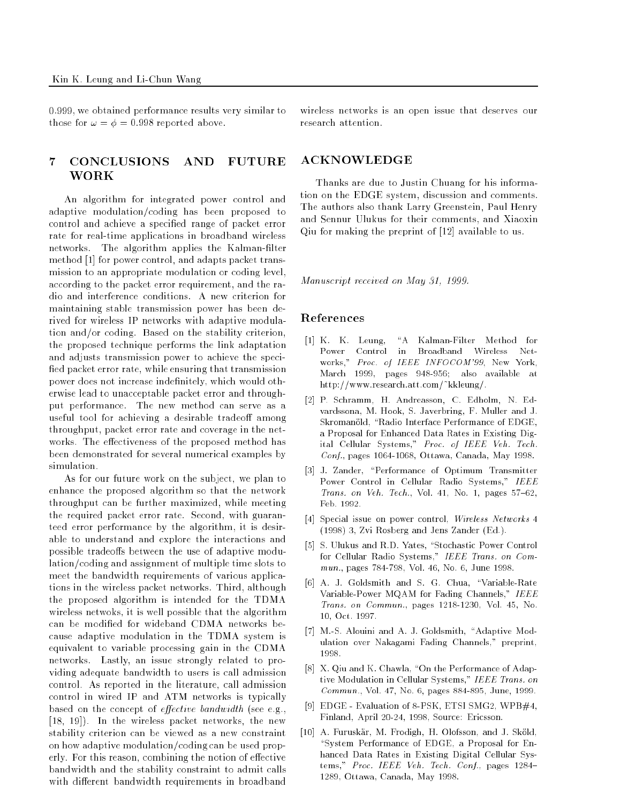0:999, we obtained performance results very similar to those for  $\omega = \phi = 0.998$  reported above.

# 7 CONCLUSIONS AND FUTURE WORK

An algorithm for integrated power control and adaptive modulation/coding has been proposed to control and achieve a specied range of packet error rate for real-time applications in broadband wireless networks. The algorithm applies the Kalman-filter method [1] for power control, and adapts packet transmission to an appropriate modulation or coding level, according to the packet error requirement, and the radio and interference conditions. A new criterion for maintaining stable transmission power has been derived for wireless IP networks with adaptive modulation and/or coding. Based on the stability criterion, the proposed technique performs the link adaptation and adjusts transmission power to achieve the speci fied packet error rate, while ensuring that transmission power does not increase indefinitely, which would otherwise lead to unacceptable packet error and throughput performance. The new method can serve as a useful tool for achieving a desirable tradeoff among throughput, packet error rate and coverage in the networks. The effectiveness of the proposed method has been demonstrated for several numerical examples by

As for our future work on the subject, we plan to enhance the proposed algorithm so that the network throughput can be further maximized, while meeting the required packet error rate. Second, with guaranteed error performance by the algorithm, it is desirable to understand and explore the interactions and possible tradeoffs between the use of adaptive modulation/coding and assignment of multiple time slots to meet the bandwidth requirements of various applications in the wireless packet networks. Third, although the proposed algorithm is intended for the TDMA wireless netwoks, it is well possible that the algorithm can be modied for wideband CDMA networks because adaptive modulation in the TDMA system is equivalent to variable processing gain in the CDMA networks. Lastly, an issue strongly related to providing adequate bandwidth to users is call admission control. As reported in the literature, call admission control in wired IP and ATM networks is typically based on the concept of *effective bandwidth* (see e.g., [18, 19]). In the wireless packet networks, the new stability criterion can be viewed as a new constraint on how adaptive modulation/coding can be used properly. For this reason, combining the notion of effective bandwidth and the stability constraint to admit calls with different bandwidth requirements in broadband wireless networks is an open issue that deserves our research attention.

## ACKNOWLEDGE

Thanks are due to Justin Chuang for his information on the EDGE system, discussion and comments. The authors also thank Larry Greenstein, Paul Henry and Sennur Ulukus for their comments, and Xiaoxin Qiu for making the preprint of [12] available to us.

Manuscript received on May 31, 1999.

# References

- [1] K. K. Leung, "A Kalman-Filter Method for Power Control in Broadband Wireless Networks," Proc. of IEEE INFOCOM'99, New York, March 1999, pages 948-956; also available at http://www.research.att.com/~kkleung/.
- [2] P. Schramm, H. Andreasson, C. Edholm, N. Edvardssona, M. Hook, S. Javerbring, F. Muller and J. Skromanold, "Radio Interface Performance of EDGE, a Proposal for Enhanced Data Rates in Existing Digital Cellular Systems," Proc. of IEEE Veh. Tech. Conf., pages 1064-1068, Ottawa, Canada, May 1998.
- [3] J. Zander, "Performance of Optimum Transmitter Power Control in Cellular Radio Systems," IEEE Trans. on Veh. Tech., Vol. 41, No. 1, pages  $57–62$ , Feb. 1992.
- [4] Special issue on power control, Wireless Networks 4 (1998) 3, Zvi Rosberg and Jens Zander (Ed.).
- [5] S. Ulukus and R.D. Yates, "Stochastic Power Control for Cellular Radio Systems," IEEE Trans. on Commun., pages 784-798, Vol. 46, No. 6, June 1998.
- [6] A. J. Goldsmith and S. G. Chua, "Variable-Rate Variable-Power MQAM for Fading Channels," IEEE Trans. on Commun., pages 1218-1230, Vol. 45, No. 10, Oct. 1997.
- [7] M.-S. Alouini and A. J. Goldsmith, "Adaptive Modulation over Nakagami Fading Channels," preprint, 1998.
- [8] X. Qiu and K. Chawla, "On the Performance of Adaptive Modulation in Cellular Systems," IEEE Trans. on Commun., Vol. 47, No. 6, pages 884-895, June, 1999.
- [9] EDGE Evaluation of 8-PSK, ETSI SMG2, WPB#4, Finland, April 20-24, 1998, Source: Ericsson.
- [10] A. Furuskär, M. Frodigh, H. Olofsson, and J. Sköld, "System Performance of EDGE, a Proposal for Enhanced Data Rates in Existing Digital Cellular Systems," Proc. IEEE Veh. Tech. Conf., pages 1284-1289, Ottawa, Canada, May 1998.